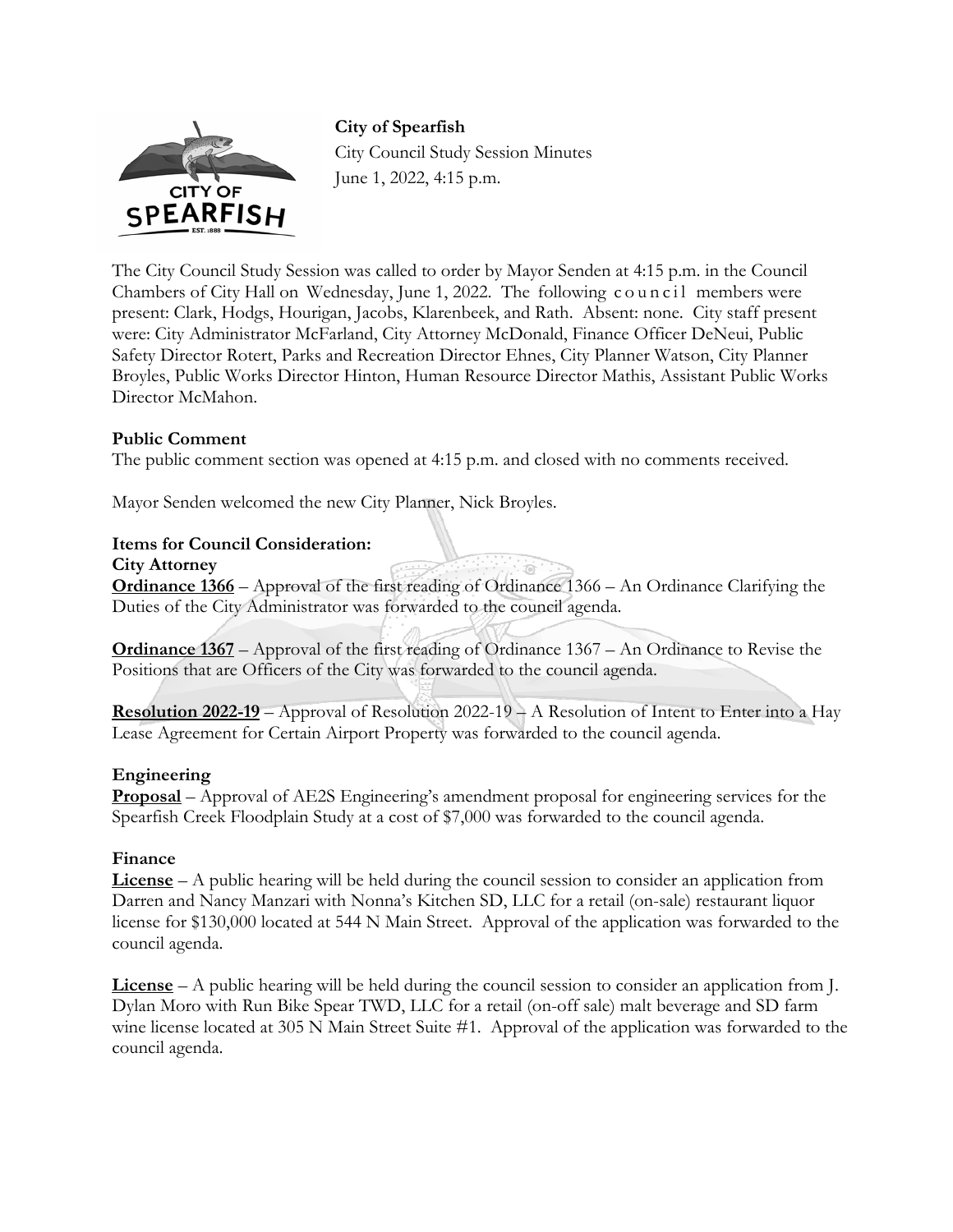

**City of Spearfish**  City Council Study Session Minutes June 1, 2022, 4:15 p.m.

The City Council Study Session was called to order by Mayor Senden at 4:15 p.m. in the Council Chambers of City Hall on Wednesday, June 1, 2022. The following council members were present: Clark, Hodgs, Hourigan, Jacobs, Klarenbeek, and Rath. Absent: none. City staff present were: City Administrator McFarland, City Attorney McDonald, Finance Officer DeNeui, Public Safety Director Rotert, Parks and Recreation Director Ehnes, City Planner Watson, City Planner Broyles, Public Works Director Hinton, Human Resource Director Mathis, Assistant Public Works Director McMahon.

#### **Public Comment**

The public comment section was opened at 4:15 p.m. and closed with no comments received.

Mayor Senden welcomed the new City Planner, Nick Broyles.

#### **Items for Council Consideration:**

**City Attorney** 

**Ordinance 1366** – Approval of the first reading of Ordinance 1366 – An Ordinance Clarifying the Duties of the City Administrator was forwarded to the council agenda.

**Ordinance 1367** – Approval of the first reading of Ordinance 1367 – An Ordinance to Revise the Positions that are Officers of the City was forwarded to the council agenda.

**Resolution 2022-19** – Approval of Resolution 2022-19 – A Resolution of Intent to Enter into a Hay Lease Agreement for Certain Airport Property was forwarded to the council agenda.

#### **Engineering**

**Proposal** – Approval of AE2S Engineering's amendment proposal for engineering services for the Spearfish Creek Floodplain Study at a cost of \$7,000 was forwarded to the council agenda.

#### **Finance**

**License** – A public hearing will be held during the council session to consider an application from Darren and Nancy Manzari with Nonna's Kitchen SD, LLC for a retail (on-sale) restaurant liquor license for \$130,000 located at 544 N Main Street. Approval of the application was forwarded to the council agenda.

**License** – A public hearing will be held during the council session to consider an application from J. Dylan Moro with Run Bike Spear TWD, LLC for a retail (on-off sale) malt beverage and SD farm wine license located at 305 N Main Street Suite #1. Approval of the application was forwarded to the council agenda.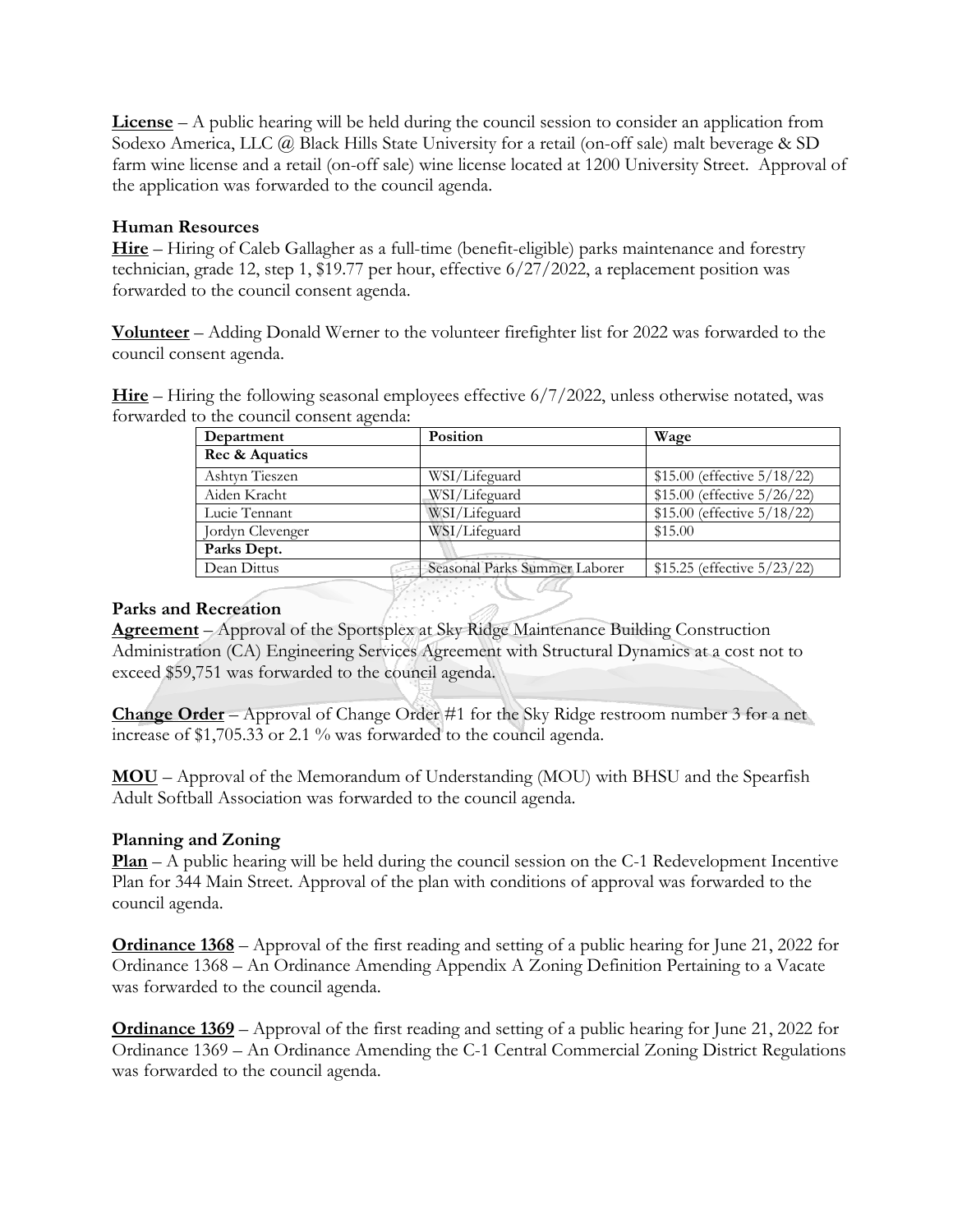**License** – A public hearing will be held during the council session to consider an application from Sodexo America, LLC @ Black Hills State University for a retail (on-off sale) malt beverage & SD farm wine license and a retail (on-off sale) wine license located at 1200 University Street. Approval of the application was forwarded to the council agenda.

## **Human Resources**

**Hire** – Hiring of Caleb Gallagher as a full-time (benefit-eligible) parks maintenance and forestry technician, grade 12, step 1, \$19.77 per hour, effective 6/27/2022, a replacement position was forwarded to the council consent agenda.

**Volunteer** – Adding Donald Werner to the volunteer firefighter list for 2022 was forwarded to the council consent agenda.

**Hire** – Hiring the following seasonal employees effective 6/7/2022, unless otherwise notated, was forwarded to the council consent agenda:

| Department       | Position                      | Wage                        |
|------------------|-------------------------------|-----------------------------|
| Rec & Aquatics   |                               |                             |
| Ashtyn Tieszen   | WSI/Lifeguard                 | \$15.00 (effective 5/18/22) |
| Aiden Kracht     | WSI/Lifeguard                 | \$15.00 (effective 5/26/22) |
| Lucie Tennant    | WSI/Lifeguard                 | \$15.00 (effective 5/18/22) |
| Jordyn Clevenger | WSI/Lifeguard                 | \$15.00                     |
| Parks Dept.      |                               |                             |
| Dean Dittus      | Seasonal Parks Summer Laborer | \$15.25 (effective 5/23/22) |

### **Parks and Recreation**

**Agreement** – Approval of the Sportsplex at Sky Ridge Maintenance Building Construction Administration (CA) Engineering Services Agreement with Structural Dynamics at a cost not to exceed \$59,751 was forwarded to the council agenda.

**Change Order** – Approval of Change Order #1 for the Sky Ridge restroom number 3 for a net increase of \$1,705.33 or 2.1 % was forwarded to the council agenda.

**MOU** – Approval of the Memorandum of Understanding (MOU) with BHSU and the Spearfish Adult Softball Association was forwarded to the council agenda.

# **Planning and Zoning**

**Plan** – A public hearing will be held during the council session on the C-1 Redevelopment Incentive Plan for 344 Main Street. Approval of the plan with conditions of approval was forwarded to the council agenda.

**Ordinance 1368** – Approval of the first reading and setting of a public hearing for June 21, 2022 for Ordinance 1368 – An Ordinance Amending Appendix A Zoning Definition Pertaining to a Vacate was forwarded to the council agenda.

**Ordinance 1369** – Approval of the first reading and setting of a public hearing for June 21, 2022 for Ordinance 1369 – An Ordinance Amending the C-1 Central Commercial Zoning District Regulations was forwarded to the council agenda.